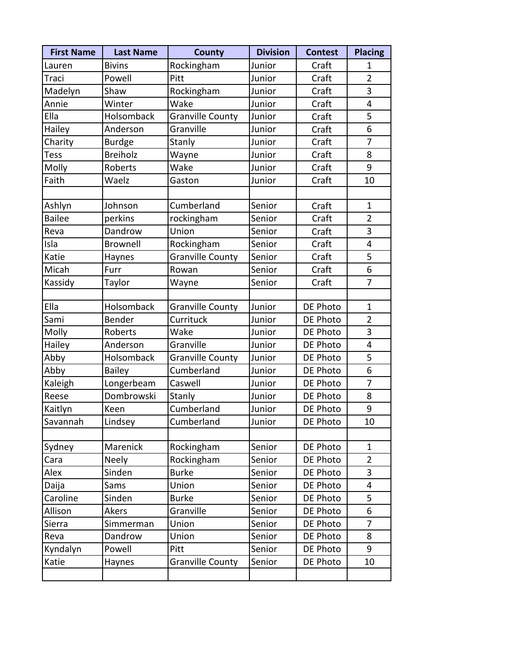| <b>First Name</b> | <b>Last Name</b> | <b>County</b>           | <b>Division</b> | <b>Contest</b> | <b>Placing</b> |
|-------------------|------------------|-------------------------|-----------------|----------------|----------------|
| Lauren            | <b>Bivins</b>    | Rockingham              | Junior          | Craft          | 1              |
| Traci             | Powell           | Pitt                    | Junior          | Craft          | $\overline{2}$ |
| Madelyn           | Shaw             | Rockingham              | Junior          | Craft          | 3              |
| Annie             | Winter           | Wake                    | Junior          | Craft          | 4              |
| Ella              | Holsomback       | <b>Granville County</b> | Junior          | Craft          | 5              |
| Hailey            | Anderson         | Granville               | Junior          | Craft          | 6              |
| Charity           | <b>Burdge</b>    | Stanly                  | Junior          | Craft          | 7              |
| Tess              | <b>Breiholz</b>  | Wayne                   | Junior          | Craft          | 8              |
| Molly             | Roberts          | Wake                    | Junior          | Craft          | 9              |
| Faith             | Waelz            | Gaston                  | Junior          | Craft          | 10             |
|                   |                  |                         |                 |                |                |
| Ashlyn            | Johnson          | Cumberland              | Senior          | Craft          | $\mathbf{1}$   |
| <b>Bailee</b>     | perkins          | rockingham              | Senior          | Craft          | $\overline{2}$ |
| Reva              | Dandrow          | Union                   | Senior          | Craft          | 3              |
| Isla              | Brownell         | Rockingham              | Senior          | Craft          | 4              |
| Katie             | Haynes           | <b>Granville County</b> | Senior          | Craft          | 5              |
| Micah             | Furr             | Rowan                   | Senior          | Craft          | 6              |
| Kassidy           | Taylor           | Wayne                   | Senior          | Craft          | 7              |
|                   |                  |                         |                 |                |                |
| Ella              | Holsomback       | <b>Granville County</b> | Junior          | DE Photo       | $\mathbf{1}$   |
| Sami              | Bender           | Currituck               | Junior          | DE Photo       | $\overline{2}$ |
| Molly             | Roberts          | Wake                    | Junior          | DE Photo       | 3              |
| Hailey            | Anderson         | Granville               | Junior          | DE Photo       | $\overline{4}$ |
| Abby              | Holsomback       | <b>Granville County</b> | Junior          | DE Photo       | 5              |
| Abby              | <b>Bailey</b>    | Cumberland              | Junior          | DE Photo       | 6              |
| Kaleigh           | Longerbeam       | Caswell                 | Junior          | DE Photo       | $\overline{7}$ |
| Reese             | Dombrowski       | Stanly                  | Junior          | DE Photo       | 8              |
| Kaitlyn           | Keen             | Cumberland              | Junior          | DE Photo       | 9              |
| Savannah          | Lindsey          | Cumberland              | Junior          | DE Photo       | 10             |
|                   |                  |                         |                 |                |                |
| Sydney            | Marenick         | Rockingham              | Senior          | DE Photo       | $\mathbf{1}$   |
| Cara              | <b>Neely</b>     | Rockingham              | Senior          | DE Photo       | $\overline{2}$ |
| Alex              | Sinden           | <b>Burke</b>            | Senior          | DE Photo       | 3              |
| Daija             | Sams             | Union                   | Senior          | DE Photo       | 4              |
| Caroline          | Sinden           | <b>Burke</b>            | Senior          | DE Photo       | 5              |
| Allison           | Akers            | Granville               | Senior          | DE Photo       | 6              |
| Sierra            | Simmerman        | Union                   | Senior          | DE Photo       | 7              |
| Reva              | Dandrow          | Union                   | Senior          | DE Photo       | 8              |
| Kyndalyn          | Powell           | Pitt                    | Senior          | DE Photo       | 9              |
| Katie             | Haynes           | <b>Granville County</b> | Senior          | DE Photo       | 10             |
|                   |                  |                         |                 |                |                |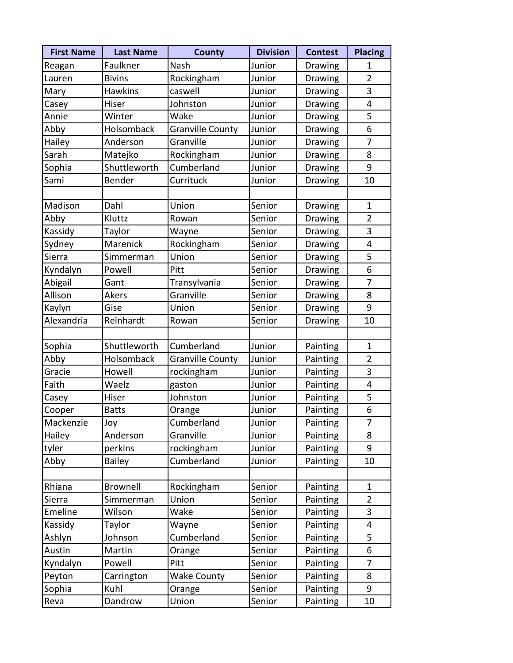| <b>First Name</b> | <b>Last Name</b> | <b>County</b>           | <b>Division</b> | <b>Contest</b>  | <b>Placing</b> |
|-------------------|------------------|-------------------------|-----------------|-----------------|----------------|
| Reagan            | Faulkner         | Nash                    | Junior          | Drawing         | 1              |
| Lauren            | <b>Bivins</b>    | Rockingham              | Junior          | Drawing         | $\overline{2}$ |
| Mary              | <b>Hawkins</b>   | caswell                 | Junior          | <b>Drawing</b>  | 3              |
| Casey             | Hiser            | Johnston                | Junior          | Drawing         | 4              |
| Annie             | Winter           | Wake                    | Junior          | Drawing         | 5              |
| Abby              | Holsomback       | <b>Granville County</b> | Junior          | Drawing         | 6              |
| Hailey            | Anderson         | Granville               | Junior          | Drawing         | 7              |
| Sarah             | Matejko          | Rockingham              | Junior          | Drawing         | 8              |
| Sophia            | Shuttleworth     | Cumberland              | Junior          | Drawing         | 9              |
| Sami              | Bender           | Currituck               | Junior          | <b>Drawing</b>  | 10             |
|                   |                  |                         |                 |                 |                |
| Madison           | Dahl             | Union                   | Senior          | Drawing         | $\mathbf{1}$   |
| Abby              | Kluttz           | Rowan                   | Senior          | Drawing         | $\overline{2}$ |
| Kassidy           | Taylor           | Wayne                   | Senior          | Drawing         | 3              |
| Sydney            | Marenick         | Rockingham              | Senior          | Drawing         | 4              |
| Sierra            | Simmerman        | Union                   | Senior          | Drawing         | 5              |
| Kyndalyn          | Powell           | Pitt                    | Senior          | Drawing         | 6              |
| Abigail           | Gant             | Transylvania            | Senior          | <b>Drawing</b>  | 7              |
| Allison           | Akers            | Granville               | Senior          | Drawing         | 8              |
| Kaylyn            | Gise             | Union                   | Senior          | Drawing         | 9              |
| Alexandria        | Reinhardt        | Rowan                   | Senior          | Drawing         | 10             |
|                   |                  |                         |                 |                 |                |
| Sophia            | Shuttleworth     | Cumberland              | Junior          | Painting        | $\mathbf{1}$   |
| Abby              | Holsomback       | <b>Granville County</b> | Junior          | Painting        | $\overline{2}$ |
| Gracie            | Howell           | rockingham              | Junior          | Painting        | 3              |
| Faith             | Waelz            | gaston                  | Junior          | Painting        | $\overline{4}$ |
| Casey             | Hiser            | Johnston                | Junior          | Painting        | 5              |
| Cooper            | <b>Batts</b>     | Orange                  | Junior          | Painting        | 6              |
| Mackenzie         | Joy              | Cumberland              | Junior          | Painting        | 7              |
| Hailey            | Anderson         | Granville               | Junior          | Painting        | 8              |
| tyler             | perkins          | rockingham              | Junior          | Painting        | 9              |
| Abby              | <b>Bailey</b>    | Cumberland              | Junior          | Painting        | 10             |
|                   |                  |                         |                 |                 |                |
| Rhiana            | Brownell         | Rockingham              | Senior          | <b>Painting</b> | $\mathbf{1}$   |
| Sierra            | Simmerman        | Union                   | Senior          | Painting        | $\overline{2}$ |
| Emeline           | Wilson           | Wake                    | Senior          | Painting        | 3              |
| Kassidy           | Taylor           | Wayne                   | Senior          | <b>Painting</b> | 4              |
| Ashlyn            | Johnson          | Cumberland              | Senior          | Painting        | 5              |
| Austin            | Martin           | Orange                  | Senior          | Painting        | 6              |
| Kyndalyn          | Powell           | Pitt                    | Senior          | Painting        | 7              |
| Peyton            | Carrington       | <b>Wake County</b>      | Senior          | Painting        | 8              |
| Sophia            | Kuhl             | Orange                  | Senior          | Painting        | 9              |
| Reva              | Dandrow          | Union                   | Senior          | Painting        | 10             |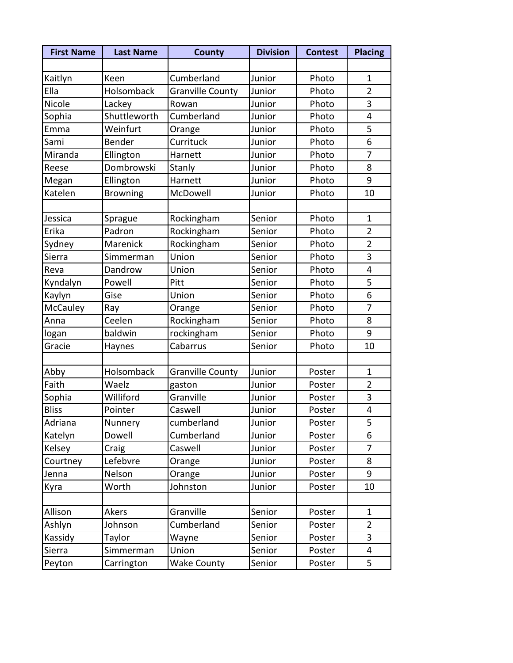| <b>First Name</b> | <b>Last Name</b> | <b>County</b>           | <b>Division</b> | <b>Contest</b> | <b>Placing</b> |
|-------------------|------------------|-------------------------|-----------------|----------------|----------------|
|                   |                  |                         |                 |                |                |
| Kaitlyn           | Keen             | Cumberland              | Junior          | Photo          | $\mathbf{1}$   |
| Ella              | Holsomback       | <b>Granville County</b> | Junior          | Photo          | $\overline{2}$ |
| Nicole            | Lackey           | Rowan                   | Junior          | Photo          | 3              |
| Sophia            | Shuttleworth     | Cumberland              | Junior          | Photo          | 4              |
| Emma              | Weinfurt         | Orange                  | Junior          | Photo          | 5              |
| Sami              | Bender           | Currituck               | Junior          | Photo          | 6              |
| Miranda           | Ellington        | Harnett                 | Junior          | Photo          | 7              |
| Reese             | Dombrowski       | Stanly                  | Junior          | Photo          | 8              |
| Megan             | Ellington        | Harnett                 | Junior          | Photo          | 9              |
| Katelen           | <b>Browning</b>  | McDowell                | Junior          | Photo          | 10             |
|                   |                  |                         |                 |                |                |
| Jessica           | Sprague          | Rockingham              | Senior          | Photo          | $\mathbf{1}$   |
| Erika             | Padron           | Rockingham              | Senior          | Photo          | $\overline{2}$ |
| Sydney            | Marenick         | Rockingham              | Senior          | Photo          | $\overline{2}$ |
| Sierra            | Simmerman        | Union                   | Senior          | Photo          | 3              |
| Reva              | Dandrow          | Union                   | Senior          | Photo          | 4              |
| Kyndalyn          | Powell           | Pitt                    | Senior          | Photo          | 5              |
| Kaylyn            | Gise             | Union                   | Senior          | Photo          | 6              |
| McCauley          | Ray              | Orange                  | Senior          | Photo          | 7              |
| Anna              | Ceelen           | Rockingham              | Senior          | Photo          | 8              |
| logan             | baldwin          | rockingham              | Senior          | Photo          | 9              |
| Gracie            | Haynes           | Cabarrus                | Senior          | Photo          | 10             |
|                   |                  |                         |                 |                |                |
| Abby              | Holsomback       | <b>Granville County</b> | Junior          | Poster         | 1              |
| Faith             | Waelz            | gaston                  | Junior          | Poster         | $\overline{2}$ |
| Sophia            | Williford        | Granville               | Junior          | Poster         | 3              |
| <b>Bliss</b>      | Pointer          | Caswell                 | Junior          | Poster         | 4              |
| Adriana           | Nunnery          | cumberland              | Junior          | Poster         | 5              |
| Katelyn           | Dowell           | Cumberland              | Junior          | Poster         | 6              |
| Kelsey            | Craig            | Caswell                 | Junior          | Poster         | 7              |
| Courtney          | Lefebvre         | Orange                  | Junior          | Poster         | 8              |
| Jenna             | Nelson           | Orange                  | Junior          | Poster         | 9              |
| Kyra              | Worth            | Johnston                | Junior          | Poster         | 10             |
|                   |                  |                         |                 |                |                |
| Allison           | Akers            | Granville               | Senior          | Poster         | 1              |
| Ashlyn            | Johnson          | Cumberland              | Senior          | Poster         | $\overline{2}$ |
| Kassidy           | Taylor           | Wayne                   | Senior          | Poster         | 3              |
| Sierra            | Simmerman        | Union                   | Senior          | Poster         | 4              |
| Peyton            | Carrington       | Wake County             | Senior          | Poster         | 5              |